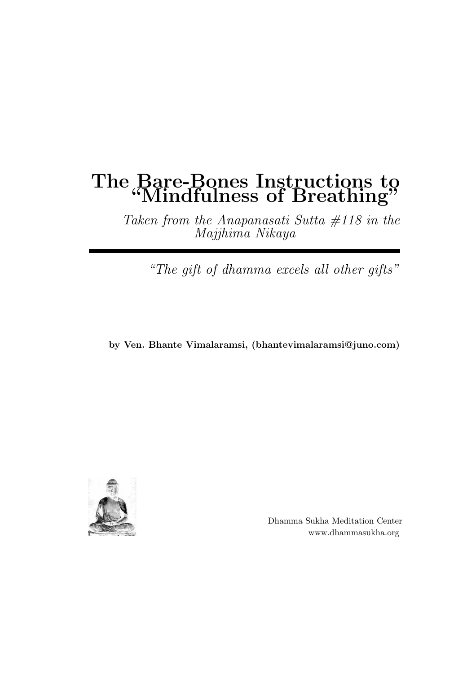### The Bare-Bones Instructions to "Mindfulness of Breathing"

Taken from the Anapanasati Sutta  $#118$  in the Majjhima Nikaya

"The gift of dhamma excels all other gifts"

by Ven. Bhante Vimalaramsi, (bhantevimalaramsi@juno.com)



Dhamma Sukha Meditation Center www.dhammasukha.org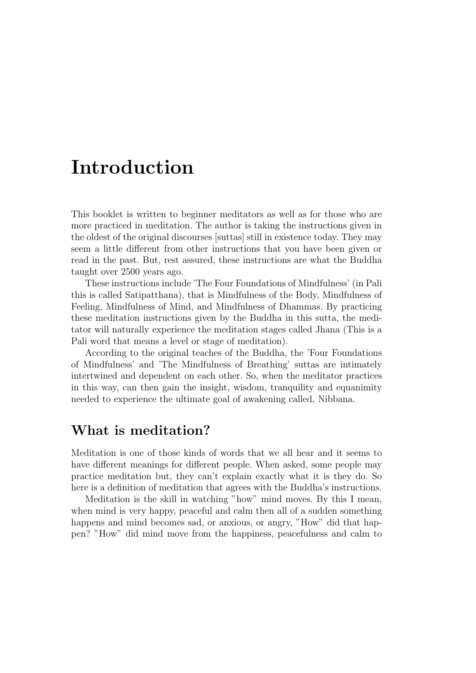## Introduction

This booklet is written to beginner meditators as well as for those who are more practiced in meditation. The author is taking the instructions given in the oldest of the original discourses [suttas] still in existence today. They may seem a little different from other instructions that you have been given or read in the past. But, rest assured, these instructions are what the Buddha taught over 2500 years ago.

These instructions include 'The Four Foundations of Mindfulness' (in Pali this is called Satipatthana), that is Mindfulness of the Body, Mindfulness of Feeling, Mindfulness of Mind, and Mindfulness of Dhammas. By practicing these meditation instructions given by the Buddha in this sutta, the meditator will naturally experience the meditation stages called Jhana (This is a Pali word that means a level or stage of meditation).

According to the original teaches of the Buddha, the 'Four Foundations of Mindfulness' and 'The Mindfulness of Breathing' suttas are intimately intertwined and dependent on each other. So, when the meditator practices in this way, can then gain the insight, wisdom, tranquility and equanimity needed to experience the ultimate goal of awakening called, Nibbana.

### What is meditation?

Meditation is one of those kinds of words that we all hear and it seems to have different meanings for different people. When asked, some people may practice meditation but, they can't explain exactly what it is they do. So here is a definition of meditation that agrees with the Buddha's instructions.

Meditation is the skill in watching "how" mind moves. By this I mean, when mind is very happy, peaceful and calm then all of a sudden something happens and mind becomes sad, or anxious, or angry, "How" did that happen? "How" did mind move from the happiness, peacefulness and calm to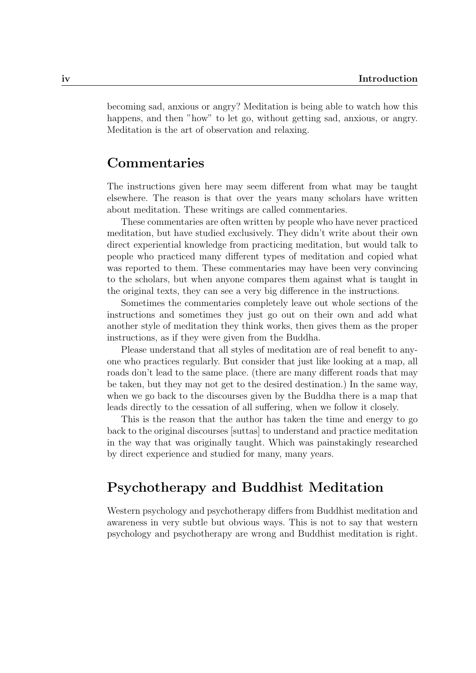becoming sad, anxious or angry? Meditation is being able to watch how this happens, and then "how" to let go, without getting sad, anxious, or angry. Meditation is the art of observation and relaxing.

### Commentaries

The instructions given here may seem different from what may be taught elsewhere. The reason is that over the years many scholars have written about meditation. These writings are called commentaries.

These commentaries are often written by people who have never practiced meditation, but have studied exclusively. They didn't write about their own direct experiential knowledge from practicing meditation, but would talk to people who practiced many different types of meditation and copied what was reported to them. These commentaries may have been very convincing to the scholars, but when anyone compares them against what is taught in the original texts, they can see a very big difference in the instructions.

Sometimes the commentaries completely leave out whole sections of the instructions and sometimes they just go out on their own and add what another style of meditation they think works, then gives them as the proper instructions, as if they were given from the Buddha.

Please understand that all styles of meditation are of real benefit to anyone who practices regularly. But consider that just like looking at a map, all roads don't lead to the same place. (there are many different roads that may be taken, but they may not get to the desired destination.) In the same way, when we go back to the discourses given by the Buddha there is a map that leads directly to the cessation of all suffering, when we follow it closely.

This is the reason that the author has taken the time and energy to go back to the original discourses [suttas] to understand and practice meditation in the way that was originally taught. Which was painstakingly researched by direct experience and studied for many, many years.

### Psychotherapy and Buddhist Meditation

Western psychology and psychotherapy differs from Buddhist meditation and awareness in very subtle but obvious ways. This is not to say that western psychology and psychotherapy are wrong and Buddhist meditation is right.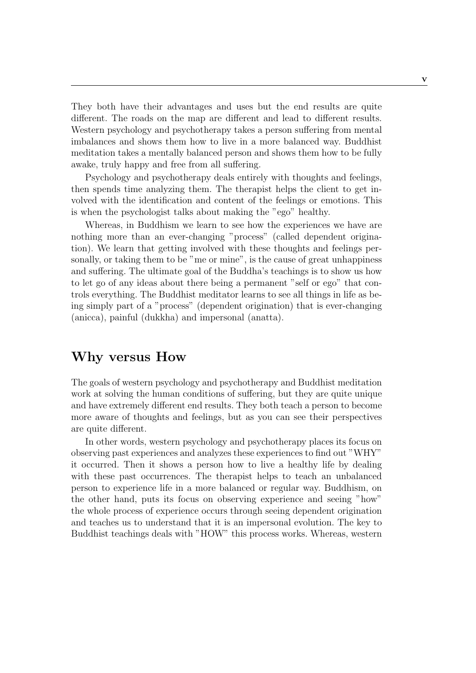They both have their advantages and uses but the end results are quite different. The roads on the map are different and lead to different results. Western psychology and psychotherapy takes a person suffering from mental imbalances and shows them how to live in a more balanced way. Buddhist meditation takes a mentally balanced person and shows them how to be fully awake, truly happy and free from all suffering.

Psychology and psychotherapy deals entirely with thoughts and feelings, then spends time analyzing them. The therapist helps the client to get involved with the identification and content of the feelings or emotions. This is when the psychologist talks about making the "ego" healthy.

Whereas, in Buddhism we learn to see how the experiences we have are nothing more than an ever-changing "process" (called dependent origination). We learn that getting involved with these thoughts and feelings personally, or taking them to be "me or mine", is the cause of great unhappiness and suffering. The ultimate goal of the Buddha's teachings is to show us how to let go of any ideas about there being a permanent "self or ego" that controls everything. The Buddhist meditator learns to see all things in life as being simply part of a "process" (dependent origination) that is ever-changing (anicca), painful (dukkha) and impersonal (anatta).

### Why versus How

The goals of western psychology and psychotherapy and Buddhist meditation work at solving the human conditions of suffering, but they are quite unique and have extremely different end results. They both teach a person to become more aware of thoughts and feelings, but as you can see their perspectives are quite different.

In other words, western psychology and psychotherapy places its focus on observing past experiences and analyzes these experiences to find out "WHY" it occurred. Then it shows a person how to live a healthy life by dealing with these past occurrences. The therapist helps to teach an unbalanced person to experience life in a more balanced or regular way. Buddhism, on the other hand, puts its focus on observing experience and seeing "how" the whole process of experience occurs through seeing dependent origination and teaches us to understand that it is an impersonal evolution. The key to Buddhist teachings deals with "HOW" this process works. Whereas, western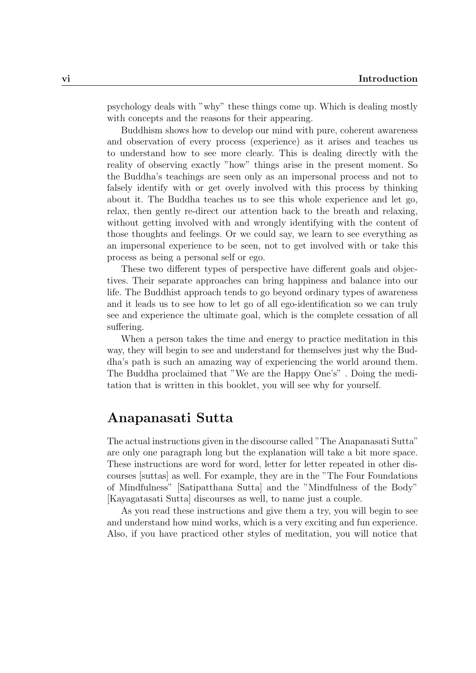psychology deals with "why" these things come up. Which is dealing mostly with concepts and the reasons for their appearing.

Buddhism shows how to develop our mind with pure, coherent awareness and observation of every process (experience) as it arises and teaches us to understand how to see more clearly. This is dealing directly with the reality of observing exactly "how" things arise in the present moment. So the Buddha's teachings are seen only as an impersonal process and not to falsely identify with or get overly involved with this process by thinking about it. The Buddha teaches us to see this whole experience and let go, relax, then gently re-direct our attention back to the breath and relaxing, without getting involved with and wrongly identifying with the content of those thoughts and feelings. Or we could say, we learn to see everything as an impersonal experience to be seen, not to get involved with or take this process as being a personal self or ego.

These two different types of perspective have different goals and objectives. Their separate approaches can bring happiness and balance into our life. The Buddhist approach tends to go beyond ordinary types of awareness and it leads us to see how to let go of all ego-identification so we can truly see and experience the ultimate goal, which is the complete cessation of all suffering.

When a person takes the time and energy to practice meditation in this way, they will begin to see and understand for themselves just why the Buddha's path is such an amazing way of experiencing the world around them. The Buddha proclaimed that "We are the Happy One's" . Doing the meditation that is written in this booklet, you will see why for yourself.

### Anapanasati Sutta

The actual instructions given in the discourse called "The Anapanasati Sutta" are only one paragraph long but the explanation will take a bit more space. These instructions are word for word, letter for letter repeated in other discourses [suttas] as well. For example, they are in the "The Four Foundations of Mindfulness" [Satipatthana Sutta] and the "Mindfulness of the Body" [Kayagatasati Sutta] discourses as well, to name just a couple.

As you read these instructions and give them a try, you will begin to see and understand how mind works, which is a very exciting and fun experience. Also, if you have practiced other styles of meditation, you will notice that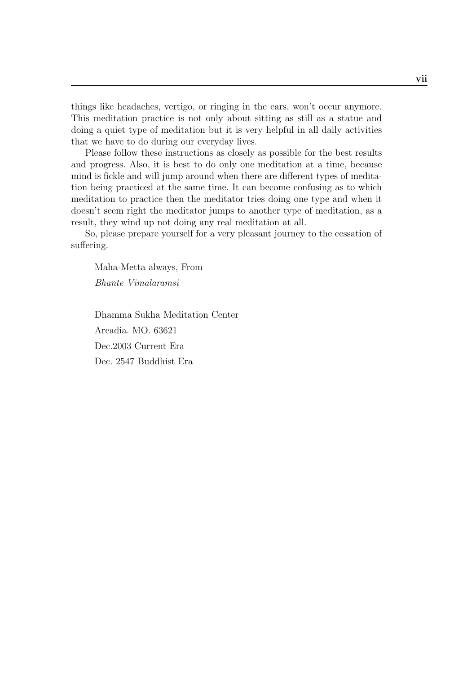things like headaches, vertigo, or ringing in the ears, won't occur anymore. This meditation practice is not only about sitting as still as a statue and doing a quiet type of meditation but it is very helpful in all daily activities that we have to do during our everyday lives.

Please follow these instructions as closely as possible for the best results and progress. Also, it is best to do only one meditation at a time, because mind is fickle and will jump around when there are different types of meditation being practiced at the same time. It can become confusing as to which meditation to practice then the meditator tries doing one type and when it doesn't seem right the meditator jumps to another type of meditation, as a result, they wind up not doing any real meditation at all.

So, please prepare yourself for a very pleasant journey to the cessation of suffering.

Maha-Metta always, From Bhante Vimalaramsi

Dhamma Sukha Meditation Center Arcadia. MO. 63621 Dec.2003 Current Era Dec. 2547 Buddhist Era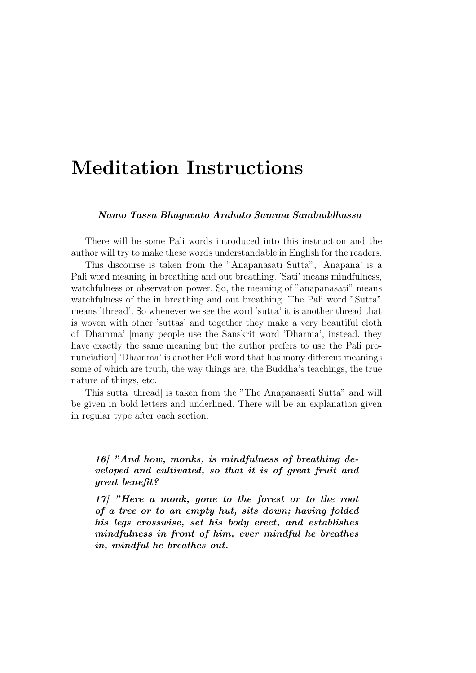# Meditation Instructions

#### Namo Tassa Bhagavato Arahato Samma Sambuddhassa

There will be some Pali words introduced into this instruction and the author will try to make these words understandable in English for the readers.

This discourse is taken from the "Anapanasati Sutta", 'Anapana' is a Pali word meaning in breathing and out breathing. 'Sati' means mindfulness, watchfulness or observation power. So, the meaning of "anapanasati" means watchfulness of the in breathing and out breathing. The Pali word "Sutta" means 'thread'. So whenever we see the word 'sutta' it is another thread that is woven with other 'suttas' and together they make a very beautiful cloth of 'Dhamma' [many people use the Sanskrit word 'Dharma', instead. they have exactly the same meaning but the author prefers to use the Pali pronunciation] 'Dhamma' is another Pali word that has many different meanings some of which are truth, the way things are, the Buddha's teachings, the true nature of things, etc.

This sutta [thread] is taken from the "The Anapanasati Sutta" and will be given in bold letters and underlined. There will be an explanation given in regular type after each section.

16] "And how, monks, is mindfulness of breathing developed and cultivated, so that it is of great fruit and great benefit?

17] "Here a monk, gone to the forest or to the root of a tree or to an empty hut, sits down; having folded his legs crosswise, set his body erect, and establishes mindfulness in front of him, ever mindful he breathes in, mindful he breathes out.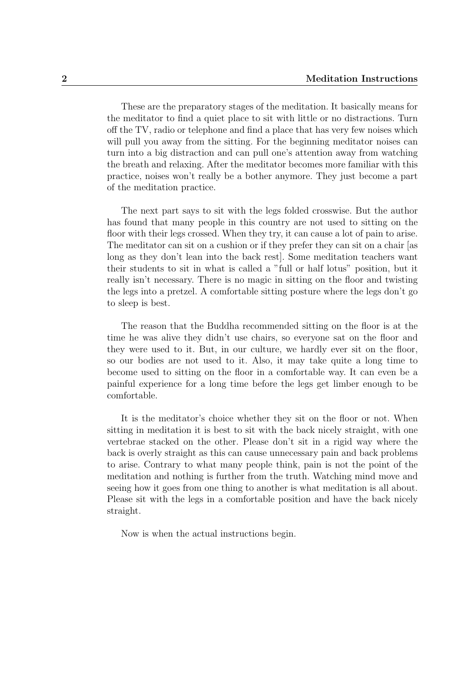These are the preparatory stages of the meditation. It basically means for the meditator to find a quiet place to sit with little or no distractions. Turn off the TV, radio or telephone and find a place that has very few noises which will pull you away from the sitting. For the beginning meditator noises can turn into a big distraction and can pull one's attention away from watching the breath and relaxing. After the meditator becomes more familiar with this practice, noises won't really be a bother anymore. They just become a part of the meditation practice.

The next part says to sit with the legs folded crosswise. But the author has found that many people in this country are not used to sitting on the floor with their legs crossed. When they try, it can cause a lot of pain to arise. The meditator can sit on a cushion or if they prefer they can sit on a chair [as long as they don't lean into the back rest]. Some meditation teachers want their students to sit in what is called a "full or half lotus" position, but it really isn't necessary. There is no magic in sitting on the floor and twisting the legs into a pretzel. A comfortable sitting posture where the legs don't go to sleep is best.

The reason that the Buddha recommended sitting on the floor is at the time he was alive they didn't use chairs, so everyone sat on the floor and they were used to it. But, in our culture, we hardly ever sit on the floor, so our bodies are not used to it. Also, it may take quite a long time to become used to sitting on the floor in a comfortable way. It can even be a painful experience for a long time before the legs get limber enough to be comfortable.

It is the meditator's choice whether they sit on the floor or not. When sitting in meditation it is best to sit with the back nicely straight, with one vertebrae stacked on the other. Please don't sit in a rigid way where the back is overly straight as this can cause unnecessary pain and back problems to arise. Contrary to what many people think, pain is not the point of the meditation and nothing is further from the truth. Watching mind move and seeing how it goes from one thing to another is what meditation is all about. Please sit with the legs in a comfortable position and have the back nicely straight.

Now is when the actual instructions begin.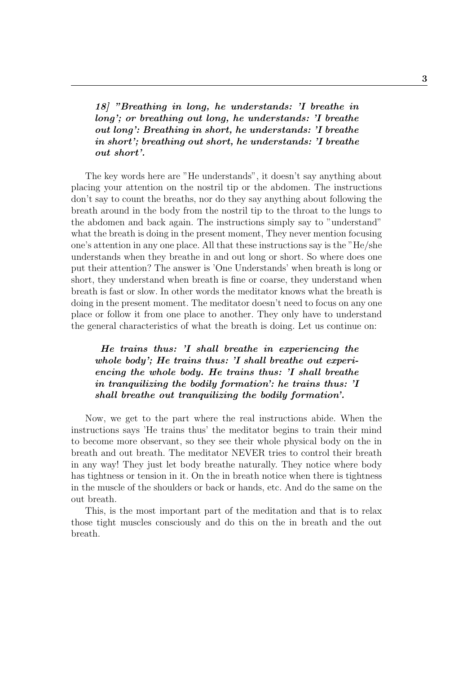18] "Breathing in long, he understands: 'I breathe in long'; or breathing out long, he understands: 'I breathe out long': Breathing in short, he understands: 'I breathe in short'; breathing out short, he understands: 'I breathe out short'.

The key words here are "He understands", it doesn't say anything about placing your attention on the nostril tip or the abdomen. The instructions don't say to count the breaths, nor do they say anything about following the breath around in the body from the nostril tip to the throat to the lungs to the abdomen and back again. The instructions simply say to "understand" what the breath is doing in the present moment, They never mention focusing one's attention in any one place. All that these instructions say is the "He/she understands when they breathe in and out long or short. So where does one put their attention? The answer is 'One Understands' when breath is long or short, they understand when breath is fine or coarse, they understand when breath is fast or slow. In other words the meditator knows what the breath is doing in the present moment. The meditator doesn't need to focus on any one place or follow it from one place to another. They only have to understand the general characteristics of what the breath is doing. Let us continue on:

He trains thus: 'I shall breathe in experiencing the whole body'; He trains thus: 'I shall breathe out experiencing the whole body. He trains thus: 'I shall breathe in tranquilizing the bodily formation': he trains thus: 'I shall breathe out tranquilizing the bodily formation'.

Now, we get to the part where the real instructions abide. When the instructions says 'He trains thus' the meditator begins to train their mind to become more observant, so they see their whole physical body on the in breath and out breath. The meditator NEVER tries to control their breath in any way! They just let body breathe naturally. They notice where body has tightness or tension in it. On the in breath notice when there is tightness in the muscle of the shoulders or back or hands, etc. And do the same on the out breath.

This, is the most important part of the meditation and that is to relax those tight muscles consciously and do this on the in breath and the out breath.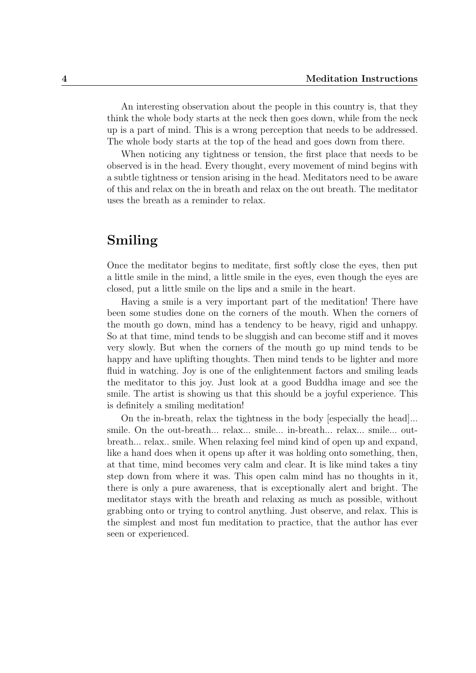An interesting observation about the people in this country is, that they think the whole body starts at the neck then goes down, while from the neck up is a part of mind. This is a wrong perception that needs to be addressed. The whole body starts at the top of the head and goes down from there.

When noticing any tightness or tension, the first place that needs to be observed is in the head. Every thought, every movement of mind begins with a subtle tightness or tension arising in the head. Meditators need to be aware of this and relax on the in breath and relax on the out breath. The meditator uses the breath as a reminder to relax.

### Smiling

Once the meditator begins to meditate, first softly close the eyes, then put a little smile in the mind, a little smile in the eyes, even though the eyes are closed, put a little smile on the lips and a smile in the heart.

Having a smile is a very important part of the meditation! There have been some studies done on the corners of the mouth. When the corners of the mouth go down, mind has a tendency to be heavy, rigid and unhappy. So at that time, mind tends to be sluggish and can become stiff and it moves very slowly. But when the corners of the mouth go up mind tends to be happy and have uplifting thoughts. Then mind tends to be lighter and more fluid in watching. Joy is one of the enlightenment factors and smiling leads the meditator to this joy. Just look at a good Buddha image and see the smile. The artist is showing us that this should be a joyful experience. This is definitely a smiling meditation!

On the in-breath, relax the tightness in the body [especially the head]... smile. On the out-breath... relax... smile... in-breath... relax... smile... outbreath... relax.. smile. When relaxing feel mind kind of open up and expand, like a hand does when it opens up after it was holding onto something, then, at that time, mind becomes very calm and clear. It is like mind takes a tiny step down from where it was. This open calm mind has no thoughts in it, there is only a pure awareness, that is exceptionally alert and bright. The meditator stays with the breath and relaxing as much as possible, without grabbing onto or trying to control anything. Just observe, and relax. This is the simplest and most fun meditation to practice, that the author has ever seen or experienced.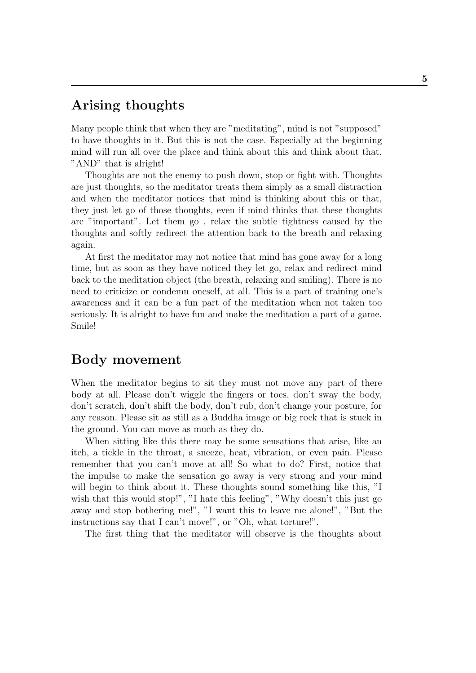### Arising thoughts

Many people think that when they are "meditating", mind is not "supposed" to have thoughts in it. But this is not the case. Especially at the beginning mind will run all over the place and think about this and think about that. "AND" that is alright!

Thoughts are not the enemy to push down, stop or fight with. Thoughts are just thoughts, so the meditator treats them simply as a small distraction and when the meditator notices that mind is thinking about this or that, they just let go of those thoughts, even if mind thinks that these thoughts are "important". Let them go , relax the subtle tightness caused by the thoughts and softly redirect the attention back to the breath and relaxing again.

At first the meditator may not notice that mind has gone away for a long time, but as soon as they have noticed they let go, relax and redirect mind back to the meditation object (the breath, relaxing and smiling). There is no need to criticize or condemn oneself, at all. This is a part of training one's awareness and it can be a fun part of the meditation when not taken too seriously. It is alright to have fun and make the meditation a part of a game. Smile!

### Body movement

When the meditator begins to sit they must not move any part of there body at all. Please don't wiggle the fingers or toes, don't sway the body, don't scratch, don't shift the body, don't rub, don't change your posture, for any reason. Please sit as still as a Buddha image or big rock that is stuck in the ground. You can move as much as they do.

When sitting like this there may be some sensations that arise, like an itch, a tickle in the throat, a sneeze, heat, vibration, or even pain. Please remember that you can't move at all! So what to do? First, notice that the impulse to make the sensation go away is very strong and your mind will begin to think about it. These thoughts sound something like this, "I wish that this would stop!", "I hate this feeling", "Why doesn't this just go away and stop bothering me!", "I want this to leave me alone!", "But the instructions say that I can't move!", or "Oh, what torture!".

The first thing that the meditator will observe is the thoughts about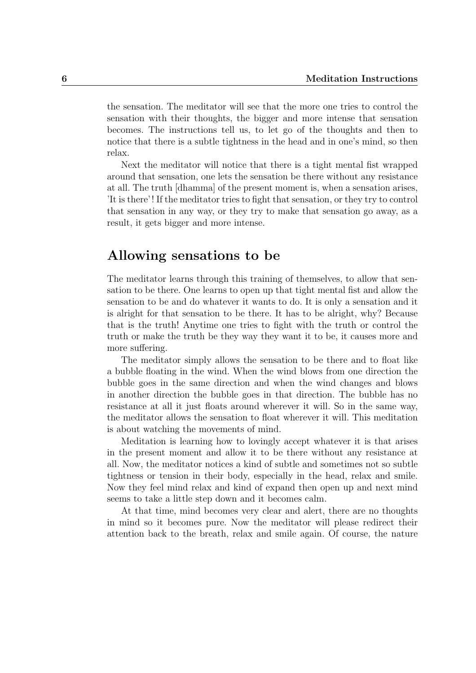the sensation. The meditator will see that the more one tries to control the sensation with their thoughts, the bigger and more intense that sensation becomes. The instructions tell us, to let go of the thoughts and then to notice that there is a subtle tightness in the head and in one's mind, so then relax.

Next the meditator will notice that there is a tight mental fist wrapped around that sensation, one lets the sensation be there without any resistance at all. The truth [dhamma] of the present moment is, when a sensation arises, 'It is there'! If the meditator tries to fight that sensation, or they try to control that sensation in any way, or they try to make that sensation go away, as a result, it gets bigger and more intense.

#### Allowing sensations to be

The meditator learns through this training of themselves, to allow that sensation to be there. One learns to open up that tight mental fist and allow the sensation to be and do whatever it wants to do. It is only a sensation and it is alright for that sensation to be there. It has to be alright, why? Because that is the truth! Anytime one tries to fight with the truth or control the truth or make the truth be they way they want it to be, it causes more and more suffering.

The meditator simply allows the sensation to be there and to float like a bubble floating in the wind. When the wind blows from one direction the bubble goes in the same direction and when the wind changes and blows in another direction the bubble goes in that direction. The bubble has no resistance at all it just floats around wherever it will. So in the same way, the meditator allows the sensation to float wherever it will. This meditation is about watching the movements of mind.

Meditation is learning how to lovingly accept whatever it is that arises in the present moment and allow it to be there without any resistance at all. Now, the meditator notices a kind of subtle and sometimes not so subtle tightness or tension in their body, especially in the head, relax and smile. Now they feel mind relax and kind of expand then open up and next mind seems to take a little step down and it becomes calm.

At that time, mind becomes very clear and alert, there are no thoughts in mind so it becomes pure. Now the meditator will please redirect their attention back to the breath, relax and smile again. Of course, the nature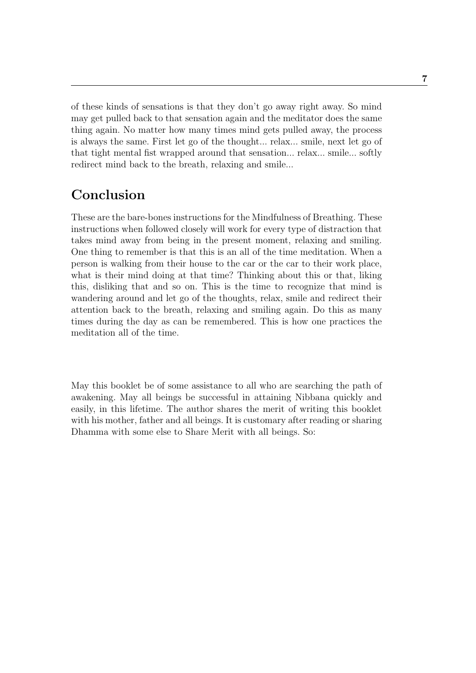of these kinds of sensations is that they don't go away right away. So mind may get pulled back to that sensation again and the meditator does the same thing again. No matter how many times mind gets pulled away, the process is always the same. First let go of the thought... relax... smile, next let go of that tight mental fist wrapped around that sensation... relax... smile... softly redirect mind back to the breath, relaxing and smile...

### Conclusion

These are the bare-bones instructions for the Mindfulness of Breathing. These instructions when followed closely will work for every type of distraction that takes mind away from being in the present moment, relaxing and smiling. One thing to remember is that this is an all of the time meditation. When a person is walking from their house to the car or the car to their work place, what is their mind doing at that time? Thinking about this or that, liking this, disliking that and so on. This is the time to recognize that mind is wandering around and let go of the thoughts, relax, smile and redirect their attention back to the breath, relaxing and smiling again. Do this as many times during the day as can be remembered. This is how one practices the meditation all of the time.

May this booklet be of some assistance to all who are searching the path of awakening. May all beings be successful in attaining Nibbana quickly and easily, in this lifetime. The author shares the merit of writing this booklet with his mother, father and all beings. It is customary after reading or sharing Dhamma with some else to Share Merit with all beings. So: